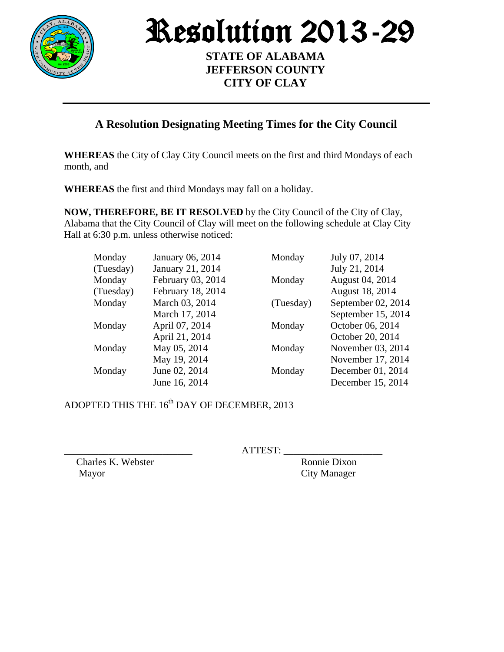

Resolution 2013-29

**STATE OF ALABAMA JEFFERSON COUNTY CITY OF CLAY**

## **A Resolution Designating Meeting Times for the City Council**

**WHEREAS** the City of Clay City Council meets on the first and third Mondays of each month, and

**WHEREAS** the first and third Mondays may fall on a holiday.

**NOW, THEREFORE, BE IT RESOLVED** by the City Council of the City of Clay, Alabama that the City Council of Clay will meet on the following schedule at Clay City Hall at 6:30 p.m. unless otherwise noticed:

| Monday    | January 06, 2014  | Monday    | July 07, 2014      |
|-----------|-------------------|-----------|--------------------|
| (Tuesday) | January 21, 2014  |           | July 21, 2014      |
| Monday    | February 03, 2014 | Monday    | August 04, 2014    |
| (Tuesday) | February 18, 2014 |           | August 18, 2014    |
| Monday    | March 03, 2014    | (Tuesday) | September 02, 2014 |
|           | March 17, 2014    |           | September 15, 2014 |
| Monday    | April 07, 2014    | Monday    | October 06, 2014   |
|           | April 21, 2014    |           | October 20, 2014   |
| Monday    | May 05, 2014      | Monday    | November 03, 2014  |
|           | May 19, 2014      |           | November 17, 2014  |
| Monday    | June 02, 2014     | Monday    | December 01, 2014  |
|           | June 16, 2014     |           | December 15, 2014  |

ADOPTED THIS THE 16<sup>th</sup> DAY OF DECEMBER, 2013

 $ATTEST:$ 

Charles K. Webster Ronnie Dixon Mayor City Manager